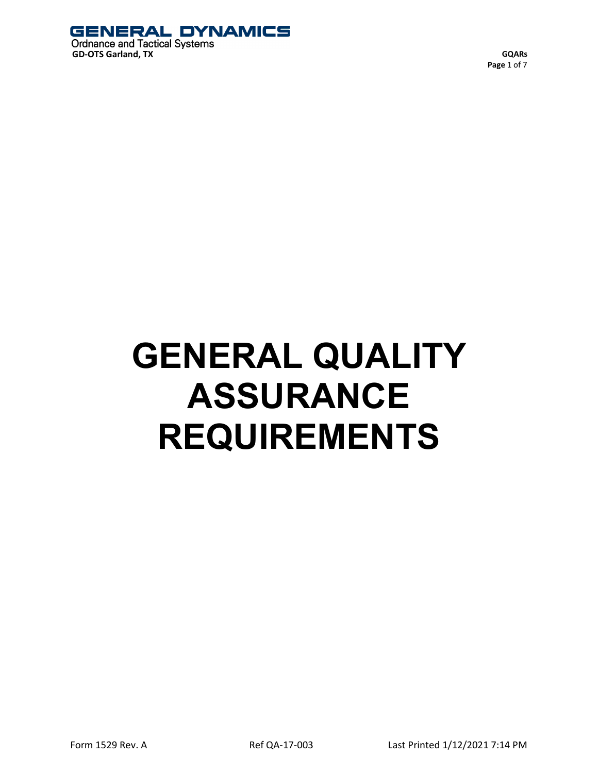

**GQARs Page** 1 of 7

# **GENERAL QUALITY ASSURANCE REQUIREMENTS**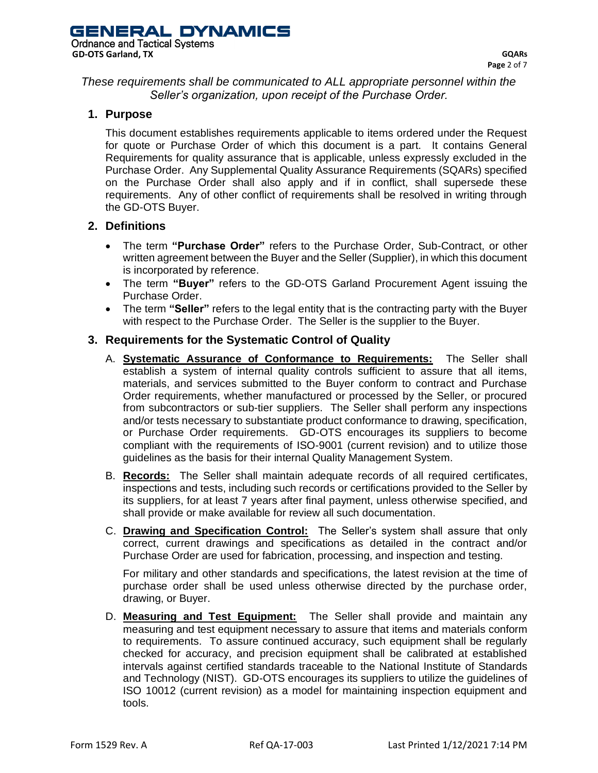*These requirements shall be communicated to ALL appropriate personnel within the Seller's organization, upon receipt of the Purchase Order.*

## **1. Purpose**

This document establishes requirements applicable to items ordered under the Request for quote or Purchase Order of which this document is a part. It contains General Requirements for quality assurance that is applicable, unless expressly excluded in the Purchase Order. Any Supplemental Quality Assurance Requirements (SQARs) specified on the Purchase Order shall also apply and if in conflict, shall supersede these requirements. Any of other conflict of requirements shall be resolved in writing through the GD-OTS Buyer.

### **2. Definitions**

- The term **"Purchase Order"** refers to the Purchase Order, Sub-Contract, or other written agreement between the Buyer and the Seller (Supplier), in which this document is incorporated by reference.
- The term **"Buyer"** refers to the GD-OTS Garland Procurement Agent issuing the Purchase Order.
- The term **"Seller"** refers to the legal entity that is the contracting party with the Buyer with respect to the Purchase Order. The Seller is the supplier to the Buyer.

## **3. Requirements for the Systematic Control of Quality**

- A. **Systematic Assurance of Conformance to Requirements:** The Seller shall establish a system of internal quality controls sufficient to assure that all items. materials, and services submitted to the Buyer conform to contract and Purchase Order requirements, whether manufactured or processed by the Seller, or procured from subcontractors or sub-tier suppliers. The Seller shall perform any inspections and/or tests necessary to substantiate product conformance to drawing, specification, or Purchase Order requirements. GD-OTS encourages its suppliers to become compliant with the requirements of ISO-9001 (current revision) and to utilize those guidelines as the basis for their internal Quality Management System.
- B. **Records:** The Seller shall maintain adequate records of all required certificates, inspections and tests, including such records or certifications provided to the Seller by its suppliers, for at least 7 years after final payment, unless otherwise specified, and shall provide or make available for review all such documentation.
- C. **Drawing and Specification Control:** The Seller's system shall assure that only correct, current drawings and specifications as detailed in the contract and/or Purchase Order are used for fabrication, processing, and inspection and testing.

For military and other standards and specifications, the latest revision at the time of purchase order shall be used unless otherwise directed by the purchase order, drawing, or Buyer.

D. **Measuring and Test Equipment:** The Seller shall provide and maintain any measuring and test equipment necessary to assure that items and materials conform to requirements. To assure continued accuracy, such equipment shall be regularly checked for accuracy, and precision equipment shall be calibrated at established intervals against certified standards traceable to the National Institute of Standards and Technology (NIST). GD-OTS encourages its suppliers to utilize the guidelines of ISO 10012 (current revision) as a model for maintaining inspection equipment and tools.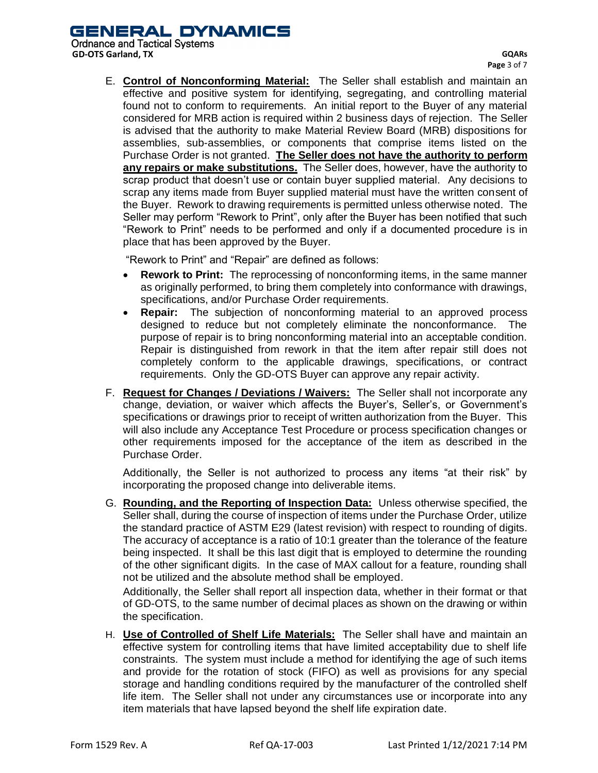GENERAL DYNAMICS

**Ordnance and Tactical Systems GD-OTS Garland, TX**

E. **Control of Nonconforming Material:** The Seller shall establish and maintain an effective and positive system for identifying, segregating, and controlling material found not to conform to requirements. An initial report to the Buyer of any material considered for MRB action is required within 2 business days of rejection. The Seller is advised that the authority to make Material Review Board (MRB) dispositions for assemblies, sub-assemblies, or components that comprise items listed on the Purchase Order is not granted. **The Seller does not have the authority to perform any repairs or make substitutions.** The Seller does, however, have the authority to scrap product that doesn't use or contain buyer supplied material. Any decisions to scrap any items made from Buyer supplied material must have the written consent of the Buyer. Rework to drawing requirements is permitted unless otherwise noted. The Seller may perform "Rework to Print", only after the Buyer has been notified that such "Rework to Print" needs to be performed and only if a documented procedure is in place that has been approved by the Buyer.

"Rework to Print" and "Repair" are defined as follows:

- **Rework to Print:** The reprocessing of nonconforming items, in the same manner as originally performed, to bring them completely into conformance with drawings, specifications, and/or Purchase Order requirements.
- **Repair:** The subjection of nonconforming material to an approved process designed to reduce but not completely eliminate the nonconformance. The purpose of repair is to bring nonconforming material into an acceptable condition. Repair is distinguished from rework in that the item after repair still does not completely conform to the applicable drawings, specifications, or contract requirements. Only the GD-OTS Buyer can approve any repair activity.
- F. **Request for Changes / Deviations / Waivers:** The Seller shall not incorporate any change, deviation, or waiver which affects the Buyer's, Seller's, or Government's specifications or drawings prior to receipt of written authorization from the Buyer. This will also include any Acceptance Test Procedure or process specification changes or other requirements imposed for the acceptance of the item as described in the Purchase Order.

Additionally, the Seller is not authorized to process any items "at their risk" by incorporating the proposed change into deliverable items.

G. **Rounding, and the Reporting of Inspection Data:** Unless otherwise specified, the Seller shall, during the course of inspection of items under the Purchase Order, utilize the standard practice of ASTM E29 (latest revision) with respect to rounding of digits. The accuracy of acceptance is a ratio of 10:1 greater than the tolerance of the feature being inspected. It shall be this last digit that is employed to determine the rounding of the other significant digits. In the case of MAX callout for a feature, rounding shall not be utilized and the absolute method shall be employed.

Additionally, the Seller shall report all inspection data, whether in their format or that of GD-OTS, to the same number of decimal places as shown on the drawing or within the specification.

H. **Use of Controlled of Shelf Life Materials:** The Seller shall have and maintain an effective system for controlling items that have limited acceptability due to shelf life constraints. The system must include a method for identifying the age of such items and provide for the rotation of stock (FIFO) as well as provisions for any special storage and handling conditions required by the manufacturer of the controlled shelf life item. The Seller shall not under any circumstances use or incorporate into any item materials that have lapsed beyond the shelf life expiration date.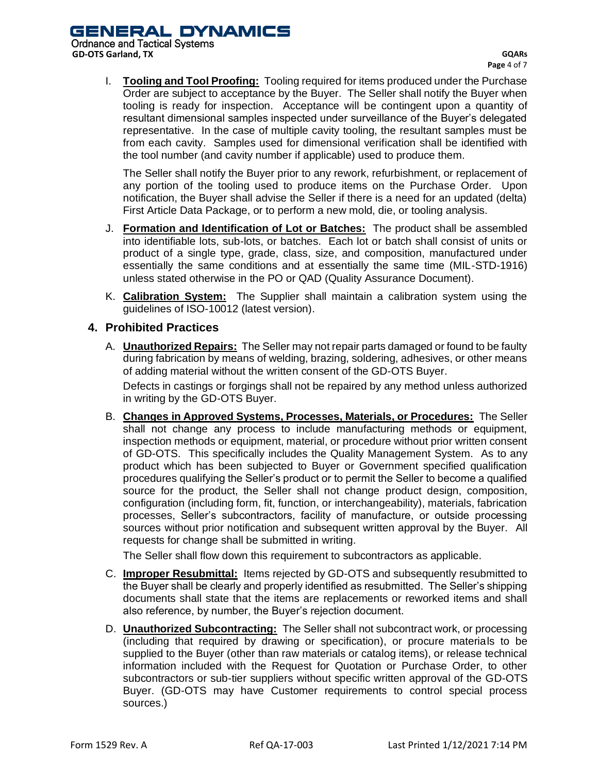I. **Tooling and Tool Proofing:** Tooling required for items produced under the Purchase Order are subject to acceptance by the Buyer. The Seller shall notify the Buyer when tooling is ready for inspection. Acceptance will be contingent upon a quantity of resultant dimensional samples inspected under surveillance of the Buyer's delegated representative. In the case of multiple cavity tooling, the resultant samples must be from each cavity. Samples used for dimensional verification shall be identified with the tool number (and cavity number if applicable) used to produce them.

The Seller shall notify the Buyer prior to any rework, refurbishment, or replacement of any portion of the tooling used to produce items on the Purchase Order. Upon notification, the Buyer shall advise the Seller if there is a need for an updated (delta) First Article Data Package, or to perform a new mold, die, or tooling analysis.

- J. **Formation and Identification of Lot or Batches:** The product shall be assembled into identifiable lots, sub-lots, or batches. Each lot or batch shall consist of units or product of a single type, grade, class, size, and composition, manufactured under essentially the same conditions and at essentially the same time (MIL-STD-1916) unless stated otherwise in the PO or QAD (Quality Assurance Document).
- K. **Calibration System:** The Supplier shall maintain a calibration system using the guidelines of ISO-10012 (latest version).

## **4. Prohibited Practices**

A. **Unauthorized Repairs:** The Seller may not repair parts damaged or found to be faulty during fabrication by means of welding, brazing, soldering, adhesives, or other means of adding material without the written consent of the GD-OTS Buyer. Defects in castings or forgings shall not be repaired by any method unless authorized

in writing by the GD-OTS Buyer.

B. **Changes in Approved Systems, Processes, Materials, or Procedures:** The Seller shall not change any process to include manufacturing methods or equipment, inspection methods or equipment, material, or procedure without prior written consent of GD-OTS. This specifically includes the Quality Management System. As to any product which has been subjected to Buyer or Government specified qualification procedures qualifying the Seller's product or to permit the Seller to become a qualified source for the product, the Seller shall not change product design, composition, configuration (including form, fit, function, or interchangeability), materials, fabrication processes, Seller's subcontractors, facility of manufacture, or outside processing sources without prior notification and subsequent written approval by the Buyer. All requests for change shall be submitted in writing.

The Seller shall flow down this requirement to subcontractors as applicable.

- C. **Improper Resubmittal:** Items rejected by GD-OTS and subsequently resubmitted to the Buyer shall be clearly and properly identified as resubmitted. The Seller's shipping documents shall state that the items are replacements or reworked items and shall also reference, by number, the Buyer's rejection document.
- D. **Unauthorized Subcontracting:** The Seller shall not subcontract work, or processing (including that required by drawing or specification), or procure materials to be supplied to the Buyer (other than raw materials or catalog items), or release technical information included with the Request for Quotation or Purchase Order, to other subcontractors or sub-tier suppliers without specific written approval of the GD-OTS Buyer. (GD-OTS may have Customer requirements to control special process sources.)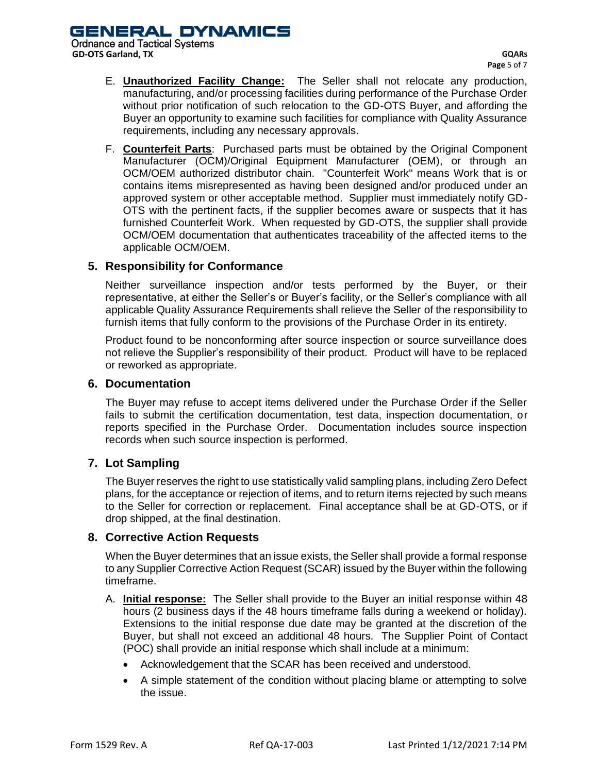**Ordnance and Tactical Systems GD-OTS Garland, TX**

- E. **Unauthorized Facility Change:** The Seller shall not relocate any production, manufacturing, and/or processing facilities during performance of the Purchase Order without prior notification of such relocation to the GD-OTS Buyer, and affording the Buyer an opportunity to examine such facilities for compliance with Quality Assurance requirements, including any necessary approvals.
- F. **Counterfeit Parts**: Purchased parts must be obtained by the Original Component Manufacturer (OCM)/Original Equipment Manufacturer (OEM), or through an OCM/OEM authorized distributor chain. "Counterfeit Work" means Work that is or contains items misrepresented as having been designed and/or produced under an approved system or other acceptable method. Supplier must immediately notify GD-OTS with the pertinent facts, if the supplier becomes aware or suspects that it has furnished Counterfeit Work. When requested by GD-OTS, the supplier shall provide OCM/OEM documentation that authenticates traceability of the affected items to the applicable OCM/OEM.

## **5. Responsibility for Conformance**

Neither surveillance inspection and/or tests performed by the Buyer, or their representative, at either the Seller's or Buyer's facility, or the Seller's compliance with all applicable Quality Assurance Requirements shall relieve the Seller of the responsibility to furnish items that fully conform to the provisions of the Purchase Order in its entirety.

Product found to be nonconforming after source inspection or source surveillance does not relieve the Supplier's responsibility of their product. Product will have to be replaced or reworked as appropriate.

#### **6. Documentation**

The Buyer may refuse to accept items delivered under the Purchase Order if the Seller fails to submit the certification documentation, test data, inspection documentation, or reports specified in the Purchase Order. Documentation includes source inspection records when such source inspection is performed.

### **7. Lot Sampling**

The Buyer reserves the right to use statistically valid sampling plans, including Zero Defect plans, for the acceptance or rejection of items, and to return items rejected by such means to the Seller for correction or replacement. Final acceptance shall be at GD-OTS, or if drop shipped, at the final destination.

### **8. Corrective Action Requests**

When the Buyer determines that an issue exists, the Seller shall provide a formal response to any Supplier Corrective Action Request (SCAR) issued by the Buyer within the following timeframe.

- A. **Initial response:** The Seller shall provide to the Buyer an initial response within 48 hours (2 business days if the 48 hours timeframe falls during a weekend or holiday). Extensions to the initial response due date may be granted at the discretion of the Buyer, but shall not exceed an additional 48 hours. The Supplier Point of Contact (POC) shall provide an initial response which shall include at a minimum:
	- Acknowledgement that the SCAR has been received and understood.
	- A simple statement of the condition without placing blame or attempting to solve the issue.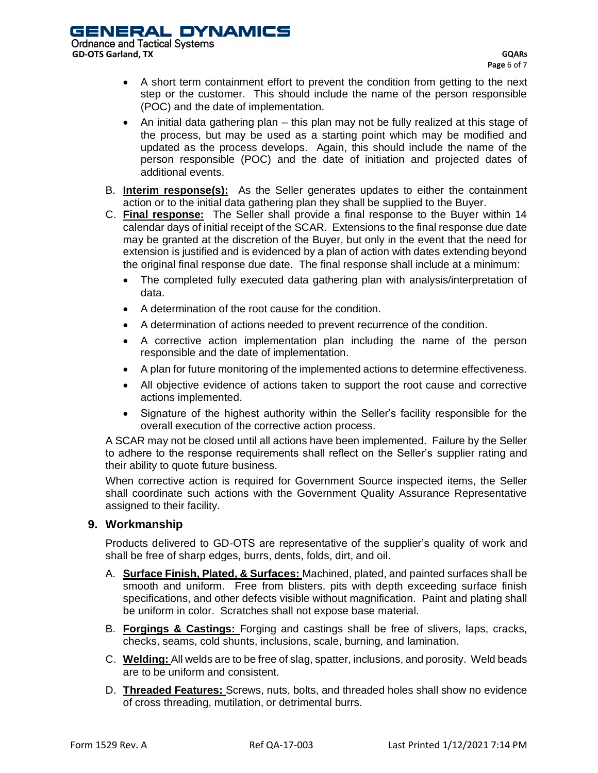- A short term containment effort to prevent the condition from getting to the next step or the customer. This should include the name of the person responsible (POC) and the date of implementation.
- An initial data gathering plan this plan may not be fully realized at this stage of the process, but may be used as a starting point which may be modified and updated as the process develops. Again, this should include the name of the person responsible (POC) and the date of initiation and projected dates of additional events.
- B. **Interim response(s):** As the Seller generates updates to either the containment action or to the initial data gathering plan they shall be supplied to the Buyer.
- C. **Final response:** The Seller shall provide a final response to the Buyer within 14 calendar days of initial receipt of the SCAR. Extensions to the final response due date may be granted at the discretion of the Buyer, but only in the event that the need for extension is justified and is evidenced by a plan of action with dates extending beyond the original final response due date. The final response shall include at a minimum:
	- The completed fully executed data gathering plan with analysis/interpretation of data.
	- A determination of the root cause for the condition.
	- A determination of actions needed to prevent recurrence of the condition.
	- A corrective action implementation plan including the name of the person responsible and the date of implementation.
	- A plan for future monitoring of the implemented actions to determine effectiveness.
	- All objective evidence of actions taken to support the root cause and corrective actions implemented.
	- Signature of the highest authority within the Seller's facility responsible for the overall execution of the corrective action process.

A SCAR may not be closed until all actions have been implemented. Failure by the Seller to adhere to the response requirements shall reflect on the Seller's supplier rating and their ability to quote future business.

When corrective action is required for Government Source inspected items, the Seller shall coordinate such actions with the Government Quality Assurance Representative assigned to their facility.

### **9. Workmanship**

Products delivered to GD-OTS are representative of the supplier's quality of work and shall be free of sharp edges, burrs, dents, folds, dirt, and oil.

- A. **Surface Finish, Plated, & Surfaces:** Machined, plated, and painted surfaces shall be smooth and uniform. Free from blisters, pits with depth exceeding surface finish specifications, and other defects visible without magnification. Paint and plating shall be uniform in color. Scratches shall not expose base material.
- B. **Forgings & Castings:** Forging and castings shall be free of slivers, laps, cracks, checks, seams, cold shunts, inclusions, scale, burning, and lamination.
- C. **Welding:** All welds are to be free of slag, spatter, inclusions, and porosity. Weld beads are to be uniform and consistent.
- D. **Threaded Features:** Screws, nuts, bolts, and threaded holes shall show no evidence of cross threading, mutilation, or detrimental burrs.